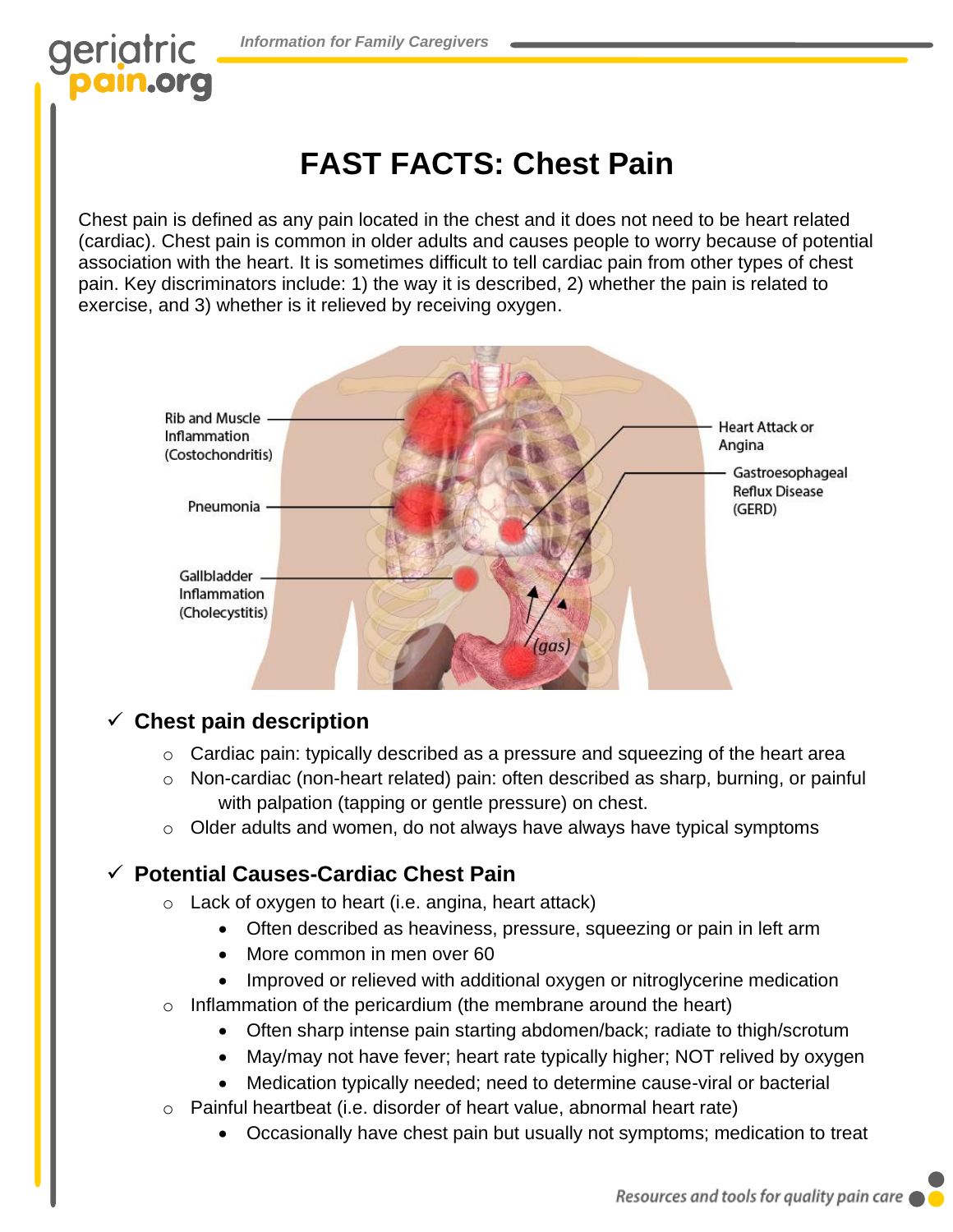## geriatric am.org

# **FAST FACTS: Chest Pain**

Chest pain is defined as any pain located in the chest and it does not need to be heart related (cardiac). Chest pain is common in older adults and causes people to worry because of potential association with the heart. It is sometimes difficult to tell cardiac pain from other types of chest pain. Key discriminators include: 1) the way it is described, 2) whether the pain is related to exercise, and 3) whether is it relieved by receiving oxygen.



#### ✓ **Chest pain description**

- o Cardiac pain: typically described as a pressure and squeezing of the heart area
- o Non-cardiac (non-heart related) pain: often described as sharp, burning, or painful with palpation (tapping or gentle pressure) on chest.
- $\circ$  Older adults and women, do not always have always have typical symptoms

#### ✓ **Potential Causes-Cardiac Chest Pain**

- o Lack of oxygen to heart (i.e. angina, heart attack)
	- Often described as heaviness, pressure, squeezing or pain in left arm
	- More common in men over 60
	- Improved or relieved with additional oxygen or nitroglycerine medication
- $\circ$  Inflammation of the pericardium (the membrane around the heart)
	- Often sharp intense pain starting abdomen/back; radiate to thigh/scrotum
	- May/may not have fever; heart rate typically higher; NOT relived by oxygen
	- Medication typically needed; need to determine cause-viral or bacterial
- o Painful heartbeat (i.e. disorder of heart value, abnormal heart rate)
	- Occasionally have chest pain but usually not symptoms; medication to treat